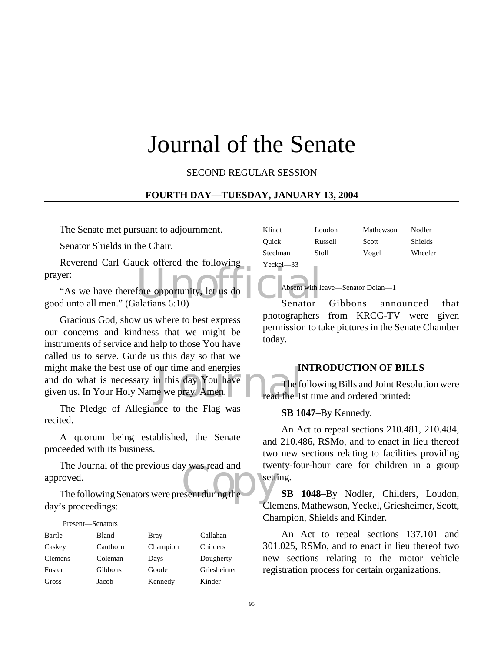# Journal of the Senate

SECOND REGULAR SESSION

#### **FOURTH DAY—TUESDAY, JANUARY 13, 2004**

The Senate met pursuant to adjournment.

Senator Shields in the Chair.

Reverend Carl Gauck offered the following prayer:

fore opportunity, let us do<br>alatians 6:10) Senator "As we have therefore opportunity, let us do good unto all men." (Galatians 6:10)

our time and energies<br>
n this day You have<br>
in the free we pray. Amen.<br>
The free pray. Gracious God, show us where to best express our concerns and kindness that we might be instruments of service and help to those You have called us to serve. Guide us this day so that we might make the best use of our time and energies and do what is necessary in this day You have given us. In Your Holy Name we pray. Amen.

The Pledge of Allegiance to the Flag was recited.

A quorum being established, the Senate proceeded with its business.

The Journal of the previous day was read and<br>roved.<br>The following Senators were present during the The Journal of the previous day was read and approved.

day's proceedings:

| Present—Senators |              |             |             |
|------------------|--------------|-------------|-------------|
| Bartle           | <b>Bland</b> | <b>Bray</b> | Callahan    |
| Caskey           | Cauthorn     | Champion    | Childers    |
| <b>Clemens</b>   | Coleman      | Days        | Dougherty   |
| Foster           | Gibbons      | Goode       | Griesheimer |
| Gross            | Jacob        | Kennedy     | Kinder      |

| Klindt        | Loudon  | Mathewson | Nodler         |
|---------------|---------|-----------|----------------|
| Ouick         | Russell | Scott     | <b>Shields</b> |
| Steelman      | Stoll   | Vogel     | Wheeler        |
| $Yeckel - 33$ |         |           |                |

Absent with leave—Senator Dolan—1

Senator Gibbons announced that photographers from KRCG-TV were given permission to take pictures in the Senate Chamber today.

#### **INTRODUCTION OF BILLS**

The following Bills and Joint Resolution were read the 1st time and ordered printed:

#### **SB 1047**–By Kennedy.

An Act to repeal sections 210.481, 210.484, and 210.486, RSMo, and to enact in lieu thereof two new sections relating to facilities providing twenty-four-hour care for children in a group setting.

**SB 1048**–By Nodler, Childers, Loudon, Clemens, Mathewson, Yeckel, Griesheimer, Scott, Champion, Shields and Kinder.

An Act to repeal sections 137.101 and 301.025, RSMo, and to enact in lieu thereof two new sections relating to the motor vehicle registration process for certain organizations.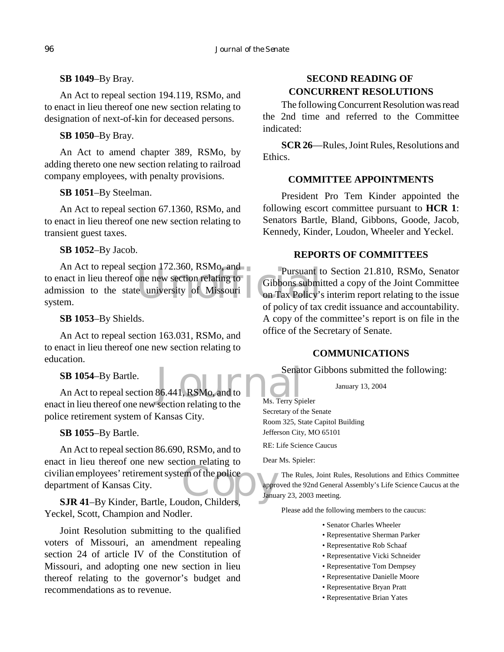**SB 1049**–By Bray.

An Act to repeal section 194.119, RSMo, and to enact in lieu thereof one new section relating to designation of next-of-kin for deceased persons.

**SB 1050**–By Bray.

An Act to amend chapter 389, RSMo, by adding thereto one new section relating to railroad company employees, with penalty provisions.

# **SB 1051**–By Steelman.

An Act to repeal section 67.1360, RSMo, and to enact in lieu thereof one new section relating to transient guest taxes.

**SB 1052**–By Jacob.

Pursuant to<br>
one new section relating to<br>
e university of Missouri<br>
Cibbons submi<br>
of nation Tax Policy's An Act to repeal section 172.360, RSMo, and to enact in lieu thereof one new section relating to admission to the state university of Missouri system.

# **SB 1053**–By Shields.

An Act to repeal section 163.031, RSMo, and to enact in lieu thereof one new section relating to education.

**SB 1054**–By Bartle.

Senat<br>86.441, RSMo, and to <br>section relating to the Ms. Terry Spi An Act to repeal section 86.441, RSMo, and to enact in lieu thereof one new section relating to the police retirement system of Kansas City.

# **SB 1055**–By Bartle.

civilian employees' retirement system of the police<br>
department of Kansas City.<br>
S.IR 41–By Kinder. Bartle. Loudon. Childers. An Act to repeal section 86.690, RSMo, and to enact in lieu thereof one new section relating to department of Kansas City.

**SJR 41**–By Kinder, Bartle, Loudon, Childers, Yeckel, Scott, Champion and Nodler.

Joint Resolution submitting to the qualified voters of Missouri, an amendment repealing section 24 of article IV of the Constitution of Missouri, and adopting one new section in lieu thereof relating to the governor's budget and recommendations as to revenue.

# **SECOND READING OF CONCURRENT RESOLUTIONS**

The following Concurrent Resolution was read the 2nd time and referred to the Committee indicated:

**SCR 26**—Rules, Joint Rules, Resolutions and Ethics.

# **COMMITTEE APPOINTMENTS**

President Pro Tem Kinder appointed the following escort committee pursuant to **HCR 1**: Senators Bartle, Bland, Gibbons, Goode, Jacob, Kennedy, Kinder, Loudon, Wheeler and Yeckel.

# **REPORTS OF COMMITTEES**

Pursuant to Section 21.810, RSMo, Senator Gibbons submitted a copy of the Joint Committee on Tax Policy's interim report relating to the issue of policy of tax credit issuance and accountability. A copy of the committee's report is on file in the office of the Secretary of Senate.

# **COMMUNICATIONS**

Senator Gibbons submitted the following:

January 13, 2004

Ms. Terry Spieler Secretary of the Senate Room 325, State Capitol Building Jefferson City, MO 65101

RE: Life Science Caucus

Dear Ms. Spieler:

The Rules, Joint Rules, Resolutions and Ethics Committee approved the 92nd General Assembly's Life Science Caucus at the January 23, 2003 meeting.

Please add the following members to the caucus:

- Senator Charles Wheeler
- Representative Sherman Parker
- Representative Rob Schaaf
- Representative Vicki Schneider
- Representative Tom Dempsey
- Representative Danielle Moore
- Representative Bryan Pratt
- Representative Brian Yates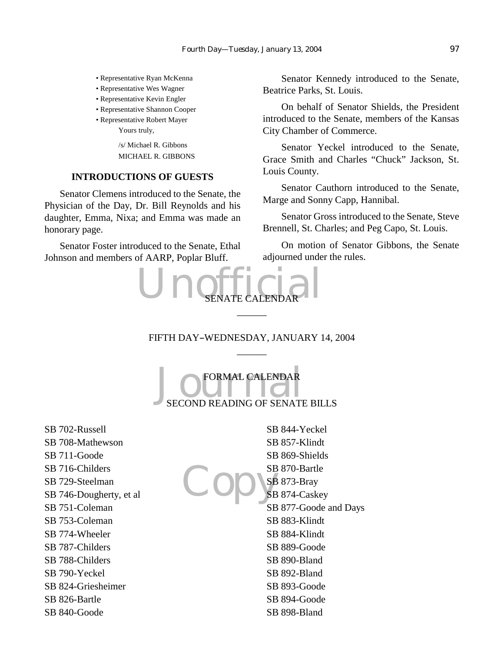- Representative Ryan McKenna
- Representative Wes Wagner
- Representative Kevin Engler
- Representative Shannon Cooper
- Representative Robert Mayer Yours truly,

/s/ Michael R. Gibbons MICHAEL R. GIBBONS

#### **INTRODUCTIONS OF GUESTS**

Senator Clemens introduced to the Senate, the Physician of the Day, Dr. Bill Reynolds and his daughter, Emma, Nixa; and Emma was made an honorary page.

Senator Foster introduced to the Senate, Ethal Johnson and members of AARP, Poplar Bluff.

Senator Kennedy introduced to the Senate, Beatrice Parks, St. Louis.

On behalf of Senator Shields, the President introduced to the Senate, members of the Kansas City Chamber of Commerce.

Senator Yeckel introduced to the Senate, Grace Smith and Charles "Chuck" Jackson, St. Louis County.

Senator Cauthorn introduced to the Senate, Marge and Sonny Capp, Hannibal.

Senator Gross introduced to the Senate, Steve Brennell, St. Charles; and Peg Capo, St. Louis.

On motion of Senator Gibbons, the Senate adjourned under the rules.



# FIFTH DAY-WEDNESDAY, JANUARY 14, 2004  $\overline{\phantom{a}}$

 $\overline{\phantom{a}}$ 

 $\begin{array}{|c|c|}\n\hline\n\multicolumn{1}{|c|}{\text{FORMAL CALENDAR}} \\
\hline\n\text{SECOND READING OF SENATE BILLS}\n\end{array}$ FORMAL CALENDAR

SB 702-Russell SB 708-Mathewson SB 711-Goode SB 716-Childers SB 729-Steelman SB 746-Dougherty, et al SB 751-Coleman SB 753-Coleman SB 774-Wheeler SB 787-Childers SB 788-Childers SB 790-Yeckel SB 824-Griesheimer SB 826-Bartle SB 840-Goode

Copys SB 844-Yeckel SB 857-Klindt SB 869-Shields SB 870-Bartle SB 873-Bray SB 874-Caskey SB 877-Goode and Days SB 883-Klindt SB 884-Klindt SB 889-Goode SB 890-Bland SB 892-Bland SB 893-Goode SB 894-Goode SB 898-Bland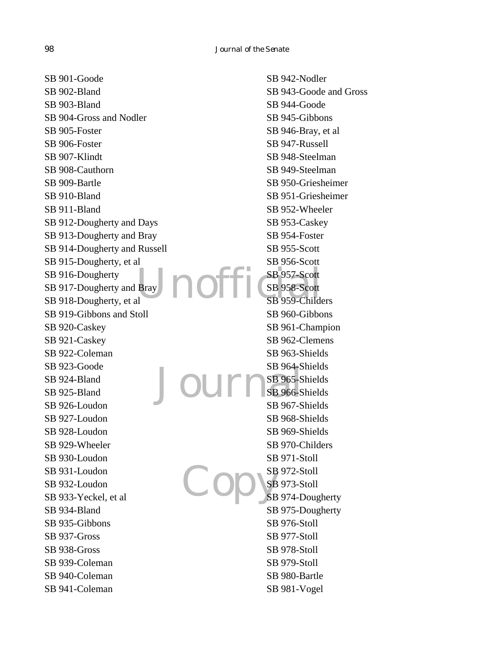Bray **DOFF** SB 957-Scott<br>SB 958-Scott<br>SB 959-Child Journal Copys SB 901-Goode SB 902-Bland SB 903-Bland SB 904-Gross and Nodler SB 905-Foster SB 906-Foster SB 907-Klindt SB 908-Cauthorn SB 909-Bartle SB 910-Bland SB 911-Bland SB 912-Dougherty and Days SB 913-Dougherty and Bray SB 914-Dougherty and Russell SB 915-Dougherty, et al SB 916-Dougherty SB 917-Dougherty and Bray SB 918-Dougherty, et al SB 919-Gibbons and Stoll SB 920-Caskey SB 921-Caskey SB 922-Coleman SB 923-Goode SB 924-Bland SB 925-Bland SB 926-Loudon SB 927-Loudon SB 928-Loudon SB 929-Wheeler SB 930-Loudon SB 931-Loudon SB 932-Loudon SB 933-Yeckel, et al SB 934-Bland SB 935-Gibbons SB 937-Gross SB 938-Gross SB 939-Coleman SB 940-Coleman SB 941-Coleman SB 942-Nodler SB 943-Goode and Gross SB 944-Goode SB 945-Gibbons SB 946-Bray, et al SB 947-Russell SB 948-Steelman SB 949-Steelman SB 950-Griesheimer SB 951-Griesheimer SB 952-Wheeler SB 953-Caskey SB 954-Foster SB 955-Scott SB 956-Scott SB 957-Scott SB 958-Scott SB 959-Childers SB 960-Gibbons SB 961-Champion SB 962-Clemens SB 963-Shields SB 964-Shields SB 965-Shields SB 966-Shields SB 967-Shields SB 968-Shields SB 969-Shields SB 970-Childers SB 971-Stoll SB 972-Stoll SB 973-Stoll SB 974-Dougherty SB 975-Dougherty SB 976-Stoll SB 977-Stoll SB 978-Stoll SB 979-Stoll SB 980-Bartle SB 981-Vogel